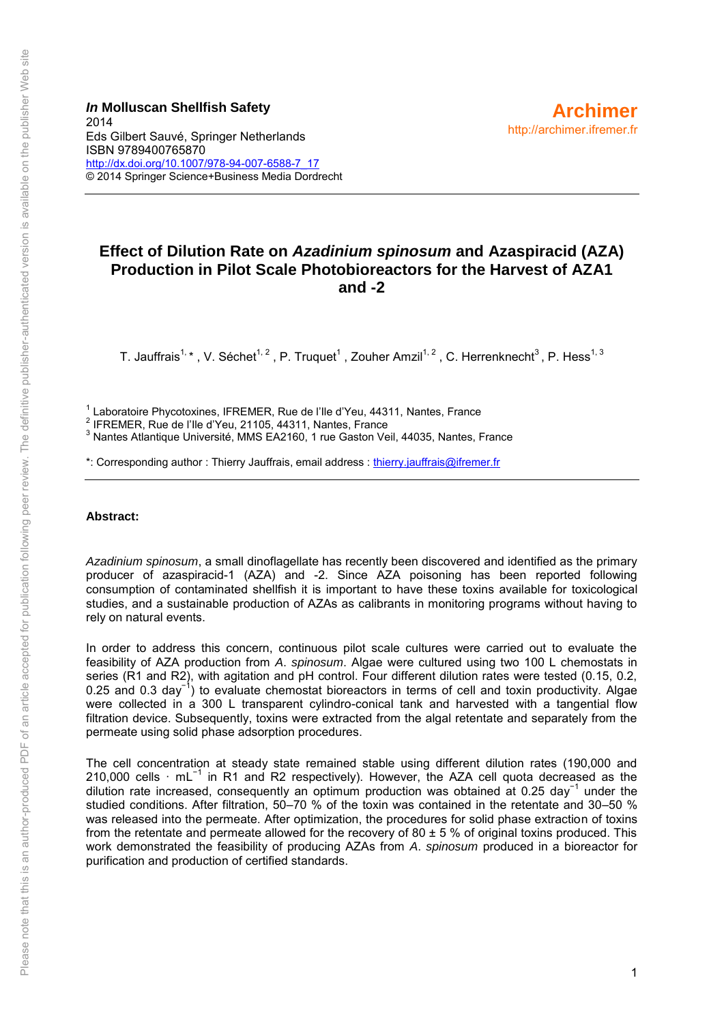#### *In* **Molluscan Shellfish Safety** 2014 Eds Gilbert Sauvé, Springer Netherlands ISBN 9789400765870 [http://dx.doi.org/10.1007/978-94-007-6588-7\\_17](http://dx.doi.org/10.1007/978-94-007-6588-7_17) © 2014 Springer Science+Business Media Dordrecht

## **Effect of Dilution Rate on** *Azadinium spinosum* **and Azaspiracid (AZA) Production in Pilot Scale Photobioreactors for the Harvest of AZA1 and -2**

T. Jauffrais<sup>1, \*</sup>, V. Séchet<sup>1, 2</sup>, P. Truquet<sup>1</sup>, Zouher Amzil<sup>1, 2</sup>, C. Herrenknecht<sup>3</sup>, P. Hess<sup>1, 3</sup>

<sup>1</sup> Laboratoire Phycotoxines, IFREMER, Rue de l'Ile d'Yeu, 44311, Nantes, France

 $2$  IFREMER, Rue de l'Ile d'Yeu, 21105, 44311, Nantes, France

<sup>3</sup> Nantes Atlantique Université, MMS EA2160, 1 rue Gaston Veil, 44035, Nantes, France

\*: Corresponding author : Thierry Jauffrais, email address : [thierry.jauffrais@ifremer.fr](mailto:thierry.jauffrais@ifremer.fr) 

#### **Abstract:**

*Azadinium spinosum*, a small dinoflagellate has recently been discovered and identified as the primary producer of azaspiracid-1 (AZA) and -2. Since AZA poisoning has been reported following consumption of contaminated shellfish it is important to have these toxins available for toxicological studies, and a sustainable production of AZAs as calibrants in monitoring programs without having to rely on natural events.

In order to address this concern, continuous pilot scale cultures were carried out to evaluate the feasibility of AZA production from *A*. *spinosum*. Algae were cultured using two 100 L chemostats in series (R1 and R2), with agitation and pH control. Four different dilution rates were tested (0.15, 0.2, 0.25 and 0.3 day<sup>-1</sup>) to evaluate chemostat bioreactors in terms of cell and toxin productivity. Algae were collected in a 300 L transparent cylindro-conical tank and harvested with a tangential flow filtration device. Subsequently, toxins were extracted from the algal retentate and separately from the permeate using solid phase adsorption procedures.

The cell concentration at steady state remained stable using different dilution rates (190,000 and 210,000 cells · mL<sup>-1</sup> in R1 and R2 respectively). However, the AZA cell quota decreased as the dilution rate increased, consequently an optimum production was obtained at 0.25 day−1 under the studied conditions. After filtration, 50–70 % of the toxin was contained in the retentate and 30–50 % was released into the permeate. After optimization, the procedures for solid phase extraction of toxins from the retentate and permeate allowed for the recovery of 80  $\pm$  5 % of original toxins produced. This work demonstrated the feasibility of producing AZAs from *A*. *spinosum* produced in a bioreactor for purification and production of certified standards.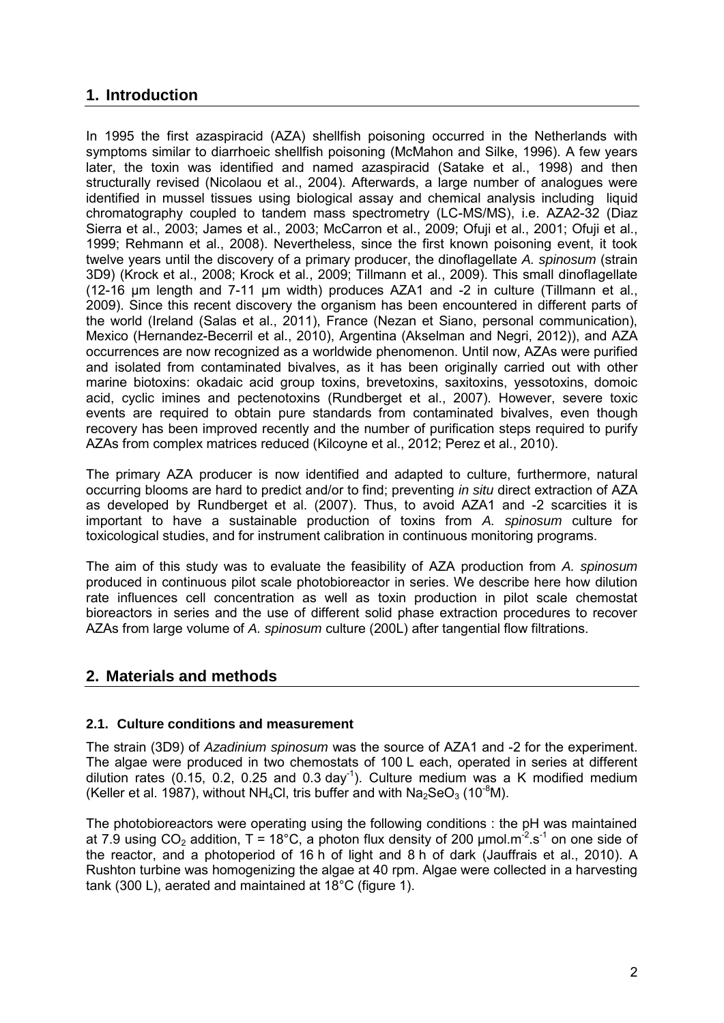# **1. Introduction**

In 1995 the first azaspiracid (AZA) shellfish poisoning occurred in the Netherlands with symptoms similar to diarrhoeic shellfish poisoning (McMahon and Silke, 1996). A few years later, the toxin was identified and named azaspiracid (Satake et al., 1998) and then structurally revised (Nicolaou et al., 2004). Afterwards, a large number of analogues were identified in mussel tissues using biological assay and chemical analysis including liquid chromatography coupled to tandem mass spectrometry (LC-MS/MS), i.e. AZA2-32 (Diaz Sierra et al., 2003; James et al., 2003; McCarron et al., 2009; Ofuji et al., 2001; Ofuji et al., 1999; Rehmann et al., 2008). Nevertheless, since the first known poisoning event, it took twelve years until the discovery of a primary producer, the dinoflagellate *A. spinosum* (strain 3D9) (Krock et al., 2008; Krock et al., 2009; Tillmann et al., 2009). This small dinoflagellate  $(12-16$  um length and  $7-11$  um width) produces AZA1 and  $-2$  in culture (Tillmann et al. 2009). Since this recent discovery the organism has been encountered in different parts of the world (Ireland (Salas et al., 2011), France (Nezan et Siano, personal communication), Mexico (Hernandez-Becerril et al., 2010), Argentina (Akselman and Negri, 2012)), and AZA occurrences are now recognized as a worldwide phenomenon. Until now, AZAs were purified and isolated from contaminated bivalves, as it has been originally carried out with other marine biotoxins: okadaic acid group toxins, brevetoxins, saxitoxins, yessotoxins, domoic acid, cyclic imines and pectenotoxins (Rundberget et al., 2007). However, severe toxic events are required to obtain pure standards from contaminated bivalves, even though recovery has been improved recently and the number of purification steps required to purify AZAs from complex matrices reduced (Kilcoyne et al., 2012; Perez et al., 2010).

The primary AZA producer is now identified and adapted to culture, furthermore, natural occurring blooms are hard to predict and/or to find; preventing *in situ* direct extraction of AZA as developed by Rundberget et al. (2007). Thus, to avoid AZA1 and -2 scarcities it is important to have a sustainable production of toxins from *A. spinosum* culture for toxicological studies, and for instrument calibration in continuous monitoring programs.

The aim of this study was to evaluate the feasibility of AZA production from *A. spinosum* produced in continuous pilot scale photobioreactor in series. We describe here how dilution rate influences cell concentration as well as toxin production in pilot scale chemostat bioreactors in series and the use of different solid phase extraction procedures to recover AZAs from large volume of *A. spinosum* culture (200L) after tangential flow filtrations.

# **2. Materials and methods**

#### **2.1. Culture conditions and measurement**

The strain (3D9) of *Azadinium spinosum* was the source of AZA1 and -2 for the experiment. The algae were produced in two chemostats of 100 L each, operated in series at different dilution rates (0.15, 0.2, 0.25 and 0.3 day<sup>-1</sup>). Culture medium was a K modified medium (Keller et al. 1987), without NH<sub>4</sub>Cl, tris buffer and with Na<sub>2</sub>SeO<sub>3</sub> (10<sup>-8</sup>M).

The photobioreactors were operating using the following conditions : the pH was maintained at 7.9 using  $CO_2$  addition, T = 18°C, a photon flux density of 200 µmol.m<sup>-2</sup>.s<sup>-1</sup> on one side of the reactor, and a photoperiod of 16 h of light and 8 h of dark (Jauffrais et al., 2010). A Rushton turbine was homogenizing the algae at 40 rpm. Algae were collected in a harvesting tank (300 L), aerated and maintained at 18°C (figure 1).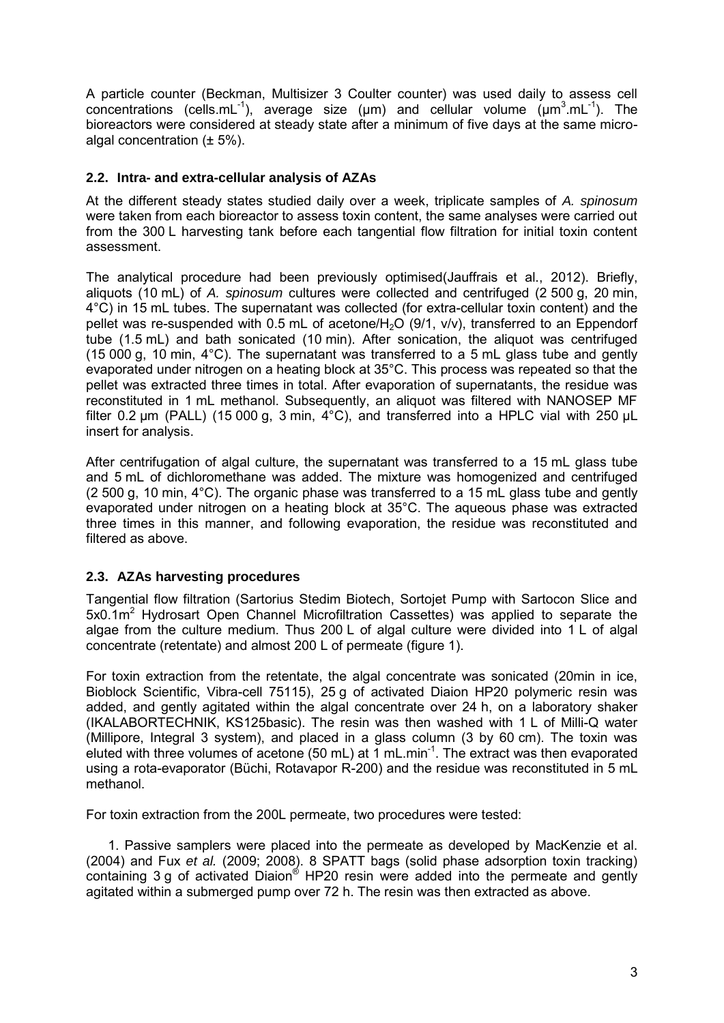A particle counter (Beckman, Multisizer 3 Coulter counter) was used daily to assess cell concentrations (cells.mL<sup>-1</sup>), average size ( $\mu$ m) and cellular volume  $(\mu m^3.mL^{-1})$ . The bioreactors were considered at steady state after a minimum of five days at the same microalgal concentration  $(\pm 5\%)$ .

## **2.2. Intra- and extra-cellular analysis of AZAs**

At the different steady states studied daily over a week, triplicate samples of *A. spinosum* were taken from each bioreactor to assess toxin content, the same analyses were carried out from the 300 L harvesting tank before each tangential flow filtration for initial toxin content assessment.

The analytical procedure had been previously optimised(Jauffrais et al., 2012). Briefly, aliquots (10 mL) of *A. spinosum* cultures were collected and centrifuged (2 500 g, 20 min, 4°C) in 15 mL tubes. The supernatant was collected (for extra-cellular toxin content) and the pellet was re-suspended with 0.5 mL of acetone/H<sub>2</sub>O (9/1,  $v/v$ ), transferred to an Eppendorf tube (1.5 mL) and bath sonicated (10 min). After sonication, the aliquot was centrifuged (15 000 g, 10 min,  $4^{\circ}$ C). The supernatant was transferred to a 5 mL glass tube and gently evaporated under nitrogen on a heating block at 35°C. This process was repeated so that the pellet was extracted three times in total. After evaporation of supernatants, the residue was reconstituted in 1 mL methanol. Subsequently, an aliquot was filtered with NANOSEP MF filter 0.2  $\mu$ m (PALL) (15 000 g, 3 min, 4°C), and transferred into a HPLC vial with 250  $\mu$ L insert for analysis.

After centrifugation of algal culture, the supernatant was transferred to a 15 mL glass tube and 5 mL of dichloromethane was added. The mixture was homogenized and centrifuged (2 500 g, 10 min, 4°C). The organic phase was transferred to a 15 mL glass tube and gently evaporated under nitrogen on a heating block at 35°C. The aqueous phase was extracted three times in this manner, and following evaporation, the residue was reconstituted and filtered as above.

#### **2.3. AZAs harvesting procedures**

Tangential flow filtration (Sartorius Stedim Biotech, Sortojet Pump with Sartocon Slice and 5x0.1m<sup>2</sup> Hydrosart Open Channel Microfiltration Cassettes) was applied to separate the algae from the culture medium. Thus 200 L of algal culture were divided into 1 L of algal concentrate (retentate) and almost 200 L of permeate (figure 1).

For toxin extraction from the retentate, the algal concentrate was sonicated (20min in ice, Bioblock Scientific, Vibra-cell 75115), 25 g of activated Diaion HP20 polymeric resin was added, and gently agitated within the algal concentrate over 24 h, on a laboratory shaker (IKALABORTECHNIK, KS125basic). The resin was then washed with 1 L of Milli-Q water (Millipore, Integral 3 system), and placed in a glass column (3 by 60 cm). The toxin was eluted with three volumes of acetone (50 mL) at  $1 \text{ mL.min}^{-1}$ . The extract was then evaporated using a rota-evaporator (Büchi, Rotavapor R-200) and the residue was reconstituted in 5 mL methanol.

For toxin extraction from the 200L permeate, two procedures were tested:

1. Passive samplers were placed into the permeate as developed by MacKenzie et al. (2004) and Fux *et al.* (2009; 2008). 8 SPATT bags (solid phase adsorption toxin tracking) containing 3 g of activated Diaion® HP20 resin were added into the permeate and gently agitated within a submerged pump over 72 h. The resin was then extracted as above.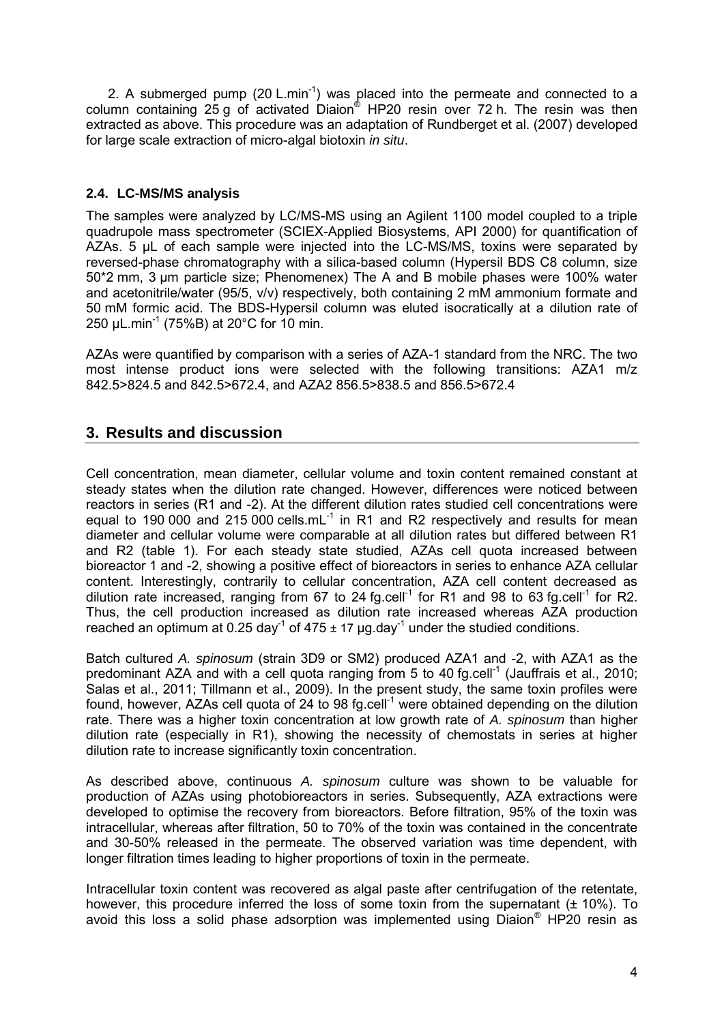2. A submerged pump  $(20 \text{ L.min}^{-1})$  was placed into the permeate and connected to a column containing 25 g of activated Diaion® HP20 resin over 72 h. The resin was then extracted as above. This procedure was an adaptation of Rundberget et al. (2007) developed for large scale extraction of micro-algal biotoxin *in situ*.

#### **2.4. LC-MS/MS analysis**

The samples were analyzed by LC/MS-MS using an Agilent 1100 model coupled to a triple quadrupole mass spectrometer (SCIEX-Applied Biosystems, API 2000) for quantification of AZAs. 5 µL of each sample were injected into the LC-MS/MS, toxins were separated by reversed-phase chromatography with a silica-based column (Hypersil BDS C8 column, size 50\*2 mm, 3 µm particle size; Phenomenex) The A and B mobile phases were 100% water and acetonitrile/water (95/5, v/v) respectively, both containing 2 mM ammonium formate and 50 mM formic acid. The BDS-Hypersil column was eluted isocratically at a dilution rate of 250  $\mu$ L.min<sup>-1</sup> (75%B) at 20<sup>°</sup>C for 10 min.

AZAs were quantified by comparison with a series of AZA-1 standard from the NRC. The two most intense product ions were selected with the following transitions: AZA1 m/z 842.5>824.5 and 842.5>672.4, and AZA2 856.5>838.5 and 856.5>672.4

# **3. Results and discussion**

Cell concentration, mean diameter, cellular volume and toxin content remained constant at steady states when the dilution rate changed. However, differences were noticed between reactors in series (R1 and -2). At the different dilution rates studied cell concentrations were equal to 190 000 and 215 000 cells.mL $<sup>-1</sup>$  in R1 and R2 respectively and results for mean</sup> diameter and cellular volume were comparable at all dilution rates but differed between R1 and R2 (table 1). For each steady state studied, AZAs cell quota increased between bioreactor 1 and -2, showing a positive effect of bioreactors in series to enhance AZA cellular content. Interestingly, contrarily to cellular concentration, AZA cell content decreased as dilution rate increased, ranging from 67 to 24 fg.cell<sup>-1</sup> for R1 and 98 to 63 fg.cell<sup>-1</sup> for R2. Thus, the cell production increased as dilution rate increased whereas AZA production reached an optimum at 0.25 day<sup>-1</sup> of 475  $\pm$  17 µg.day<sup>-1</sup> under the studied conditions.

Batch cultured *A. spinosum* (strain 3D9 or SM2) produced AZA1 and -2, with AZA1 as the predominant AZA and with a cell quota ranging from 5 to 40 fg. cell<sup>-1</sup> (Jauffrais et al., 2010; Salas et al., 2011; Tillmann et al., 2009). In the present study, the same toxin profiles were found, however, AZAs cell quota of 24 to 98 fg.cell<sup>-1</sup> were obtained depending on the dilution rate. There was a higher toxin concentration at low growth rate of *A. spinosum* than higher dilution rate (especially in R1), showing the necessity of chemostats in series at higher dilution rate to increase significantly toxin concentration.

As described above, continuous *A. spinosum* culture was shown to be valuable for production of AZAs using photobioreactors in series. Subsequently, AZA extractions were developed to optimise the recovery from bioreactors. Before filtration, 95% of the toxin was intracellular, whereas after filtration, 50 to 70% of the toxin was contained in the concentrate and 30-50% released in the permeate. The observed variation was time dependent, with longer filtration times leading to higher proportions of toxin in the permeate.

Intracellular toxin content was recovered as algal paste after centrifugation of the retentate, however, this procedure inferred the loss of some toxin from the supernatant  $(± 10%)$ . To avoid this loss a solid phase adsorption was implemented using Diaion® HP20 resin as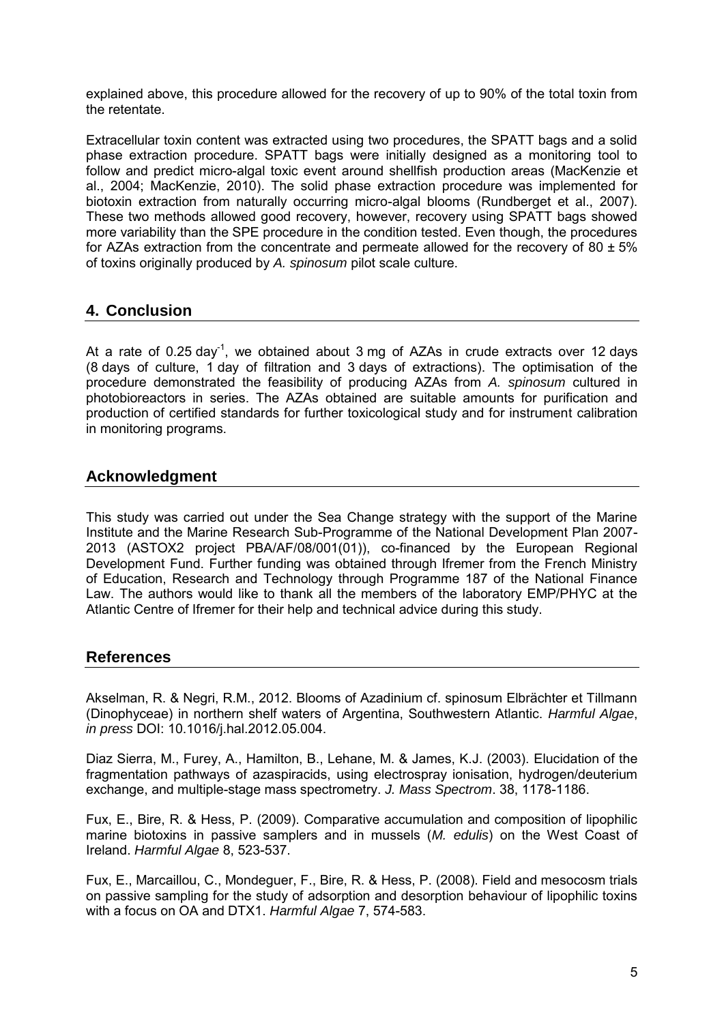explained above, this procedure allowed for the recovery of up to 90% of the total toxin from the retentate.

Extracellular toxin content was extracted using two procedures, the SPATT bags and a solid phase extraction procedure. SPATT bags were initially designed as a monitoring tool to follow and predict micro-algal toxic event around shellfish production areas (MacKenzie et al., 2004; MacKenzie, 2010). The solid phase extraction procedure was implemented for biotoxin extraction from naturally occurring micro-algal blooms (Rundberget et al., 2007). These two methods allowed good recovery, however, recovery using SPATT bags showed more variability than the SPE procedure in the condition tested. Even though, the procedures for AZAs extraction from the concentrate and permeate allowed for the recovery of 80  $\pm$  5% of toxins originally produced by *A. spinosum* pilot scale culture.

# **4. Conclusion**

At a rate of 0.25 day<sup>-1</sup>, we obtained about 3 mg of AZAs in crude extracts over 12 days (8 days of culture, 1 day of filtration and 3 days of extractions). The optimisation of the procedure demonstrated the feasibility of producing AZAs from *A. spinosum* cultured in photobioreactors in series. The AZAs obtained are suitable amounts for purification and production of certified standards for further toxicological study and for instrument calibration in monitoring programs.

# **Acknowledgment**

This study was carried out under the Sea Change strategy with the support of the Marine Institute and the Marine Research Sub-Programme of the National Development Plan 2007- 2013 (ASTOX2 project PBA/AF/08/001(01)), co-financed by the European Regional Development Fund. Further funding was obtained through Ifremer from the French Ministry of Education, Research and Technology through Programme 187 of the National Finance Law. The authors would like to thank all the members of the laboratory EMP/PHYC at the Atlantic Centre of Ifremer for their help and technical advice during this study.

## **References**

Akselman, R. & Negri, R.M., 2012. Blooms of Azadinium cf. spinosum Elbrächter et Tillmann (Dinophyceae) in northern shelf waters of Argentina, Southwestern Atlantic. *Harmful Algae*, *in press* DOI: 10.1016/j.hal.2012.05.004.

Diaz Sierra, M., Furey, A., Hamilton, B., Lehane, M. & James, K.J. (2003). Elucidation of the fragmentation pathways of azaspiracids, using electrospray ionisation, hydrogen/deuterium exchange, and multiple-stage mass spectrometry. *J. Mass Spectrom*. 38, 1178-1186.

Fux, E., Bire, R. & Hess, P. (2009). Comparative accumulation and composition of lipophilic marine biotoxins in passive samplers and in mussels (*M. edulis*) on the West Coast of Ireland. *Harmful Algae* 8, 523-537.

Fux, E., Marcaillou, C., Mondeguer, F., Bire, R. & Hess, P. (2008). Field and mesocosm trials on passive sampling for the study of adsorption and desorption behaviour of lipophilic toxins with a focus on OA and DTX1. *Harmful Algae* 7, 574-583.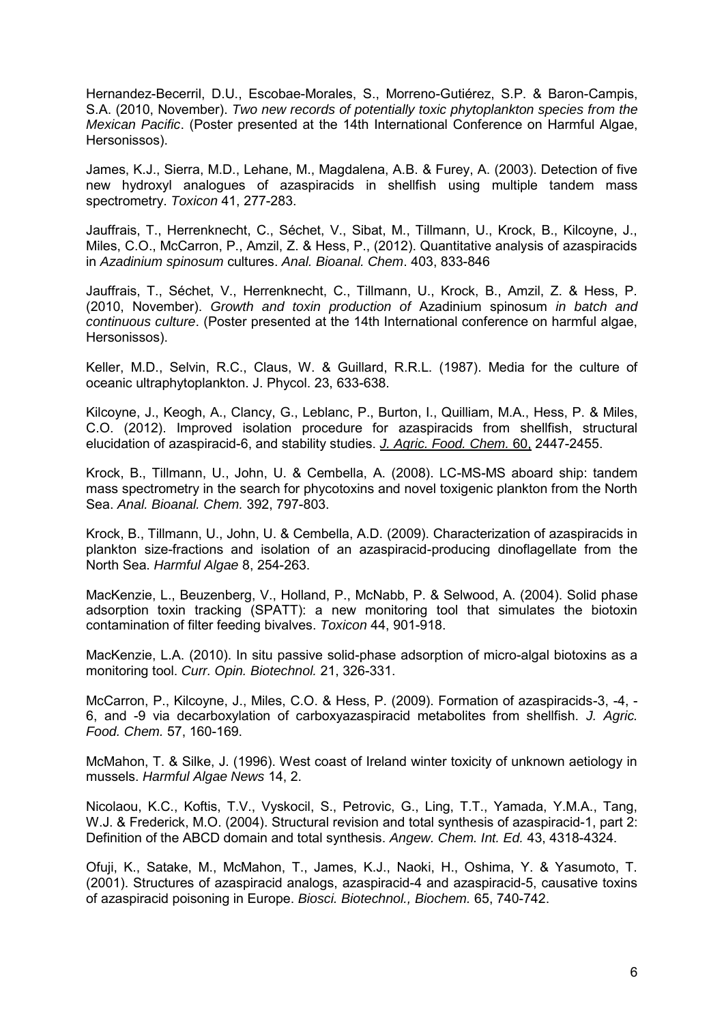Hernandez-Becerril, D.U., Escobae-Morales, S., Morreno-Gutiérez, S.P. & Baron-Campis, S.A. (2010, November). *Two new records of potentially toxic phytoplankton species from the Mexican Pacific*. (Poster presented at the 14th International Conference on Harmful Algae, Hersonissos).

James, K.J., Sierra, M.D., Lehane, M., Magdalena, A.B. & Furey, A. (2003). Detection of five new hydroxyl analogues of azaspiracids in shellfish using multiple tandem mass spectrometry. *Toxicon* 41, 277-283.

Jauffrais, T., Herrenknecht, C., Séchet, V., Sibat, M., Tillmann, U., Krock, B., Kilcoyne, J., Miles, C.O., McCarron, P., Amzil, Z. & Hess, P., (2012). Quantitative analysis of azaspiracids in *Azadinium spinosum* cultures. *Anal. Bioanal. Chem*. 403, 833-846

Jauffrais, T., Séchet, V., Herrenknecht, C., Tillmann, U., Krock, B., Amzil, Z. & Hess, P. (2010, November). *Growth and toxin production of* Azadinium spinosum *in batch and continuous culture*. (Poster presented at the 14th International conference on harmful algae, Hersonissos).

Keller, M.D., Selvin, R.C., Claus, W. & Guillard, R.R.L. (1987). Media for the culture of oceanic ultraphytoplankton. J. Phycol. 23, 633-638.

Kilcoyne, J., Keogh, A., Clancy, G., Leblanc, P., Burton, I., Quilliam, M.A., Hess, P. & Miles, C.O. (2012). Improved isolation procedure for azaspiracids from shellfish, structural elucidation of azaspiracid-6, and stability studies. *J. Agric. Food. Chem.* 60, 2447-2455.

Krock, B., Tillmann, U., John, U. & Cembella, A. (2008). LC-MS-MS aboard ship: tandem mass spectrometry in the search for phycotoxins and novel toxigenic plankton from the North Sea. *Anal. Bioanal. Chem.* 392, 797-803.

Krock, B., Tillmann, U., John, U. & Cembella, A.D. (2009). Characterization of azaspiracids in plankton size-fractions and isolation of an azaspiracid-producing dinoflagellate from the North Sea. *Harmful Algae* 8, 254-263.

MacKenzie, L., Beuzenberg, V., Holland, P., McNabb, P. & Selwood, A. (2004). Solid phase adsorption toxin tracking (SPATT): a new monitoring tool that simulates the biotoxin contamination of filter feeding bivalves. *Toxicon* 44, 901-918.

MacKenzie, L.A. (2010). In situ passive solid-phase adsorption of micro-algal biotoxins as a monitoring tool. *Curr. Opin. Biotechnol.* 21, 326-331.

McCarron, P., Kilcoyne, J., Miles, C.O. & Hess, P. (2009). Formation of azaspiracids-3, -4, - 6, and -9 via decarboxylation of carboxyazaspiracid metabolites from shellfish. *J. Agric. Food. Chem.* 57, 160-169.

McMahon, T. & Silke, J. (1996). West coast of Ireland winter toxicity of unknown aetiology in mussels. *Harmful Algae News* 14, 2.

Nicolaou, K.C., Koftis, T.V., Vyskocil, S., Petrovic, G., Ling, T.T., Yamada, Y.M.A., Tang, W.J. & Frederick, M.O. (2004). Structural revision and total synthesis of azaspiracid-1, part 2: Definition of the ABCD domain and total synthesis. *Angew. Chem. Int. Ed.* 43, 4318-4324.

Ofuji, K., Satake, M., McMahon, T., James, K.J., Naoki, H., Oshima, Y. & Yasumoto, T. (2001). Structures of azaspiracid analogs, azaspiracid-4 and azaspiracid-5, causative toxins of azaspiracid poisoning in Europe. *Biosci. Biotechnol., Biochem.* 65, 740-742.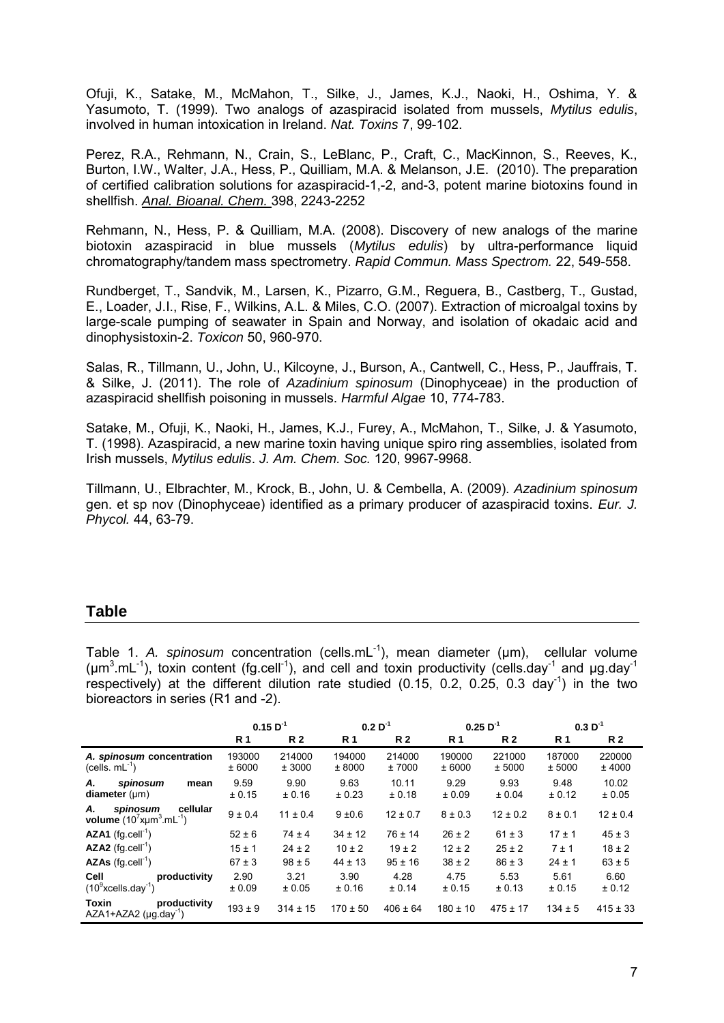Ofuji, K., Satake, M., McMahon, T., Silke, J., James, K.J., Naoki, H., Oshima, Y. & Yasumoto, T. (1999). Two analogs of azaspiracid isolated from mussels, *Mytilus edulis*, involved in human intoxication in Ireland. *Nat. Toxins* 7, 99-102.

Perez, R.A., Rehmann, N., Crain, S., LeBlanc, P., Craft, C., MacKinnon, S., Reeves, K., Burton, I.W., Walter, J.A., Hess, P., Quilliam, M.A. & Melanson, J.E. (2010). The preparation of certified calibration solutions for azaspiracid-1,-2, and-3, potent marine biotoxins found in shellfish. *Anal. Bioanal. Chem.* 398, 2243-2252

Rehmann, N., Hess, P. & Quilliam, M.A. (2008). Discovery of new analogs of the marine biotoxin azaspiracid in blue mussels (*Mytilus edulis*) by ultra-performance liquid chromatography/tandem mass spectrometry. *Rapid Commun. Mass Spectrom.* 22, 549-558.

Rundberget, T., Sandvik, M., Larsen, K., Pizarro, G.M., Reguera, B., Castberg, T., Gustad, E., Loader, J.I., Rise, F., Wilkins, A.L. & Miles, C.O. (2007). Extraction of microalgal toxins by large-scale pumping of seawater in Spain and Norway, and isolation of okadaic acid and dinophysistoxin-2. *Toxicon* 50, 960-970.

Salas, R., Tillmann, U., John, U., Kilcoyne, J., Burson, A., Cantwell, C., Hess, P., Jauffrais, T. & Silke, J. (2011). The role of *Azadinium spinosum* (Dinophyceae) in the production of azaspiracid shellfish poisoning in mussels. *Harmful Algae* 10, 774-783.

Satake, M., Ofuji, K., Naoki, H., James, K.J., Furey, A., McMahon, T., Silke, J. & Yasumoto, T. (1998). Azaspiracid, a new marine toxin having unique spiro ring assemblies, isolated from Irish mussels, *Mytilus edulis*. *J. Am. Chem. Soc.* 120, 9967-9968.

Tillmann, U., Elbrachter, M., Krock, B., John, U. & Cembella, A. (2009). *Azadinium spinosum* gen. et sp nov (Dinophyceae) identified as a primary producer of azaspiracid toxins. *Eur. J. Phycol.* 44, 63-79.

## **Table**

Table 1. A. spinosum concentration (cells.mL<sup>-1</sup>), mean diameter (µm), cellular volume  $(\mu m^3.mL^{-1})$ , toxin content (fg.cell<sup>-1</sup>), and cell and toxin productivity (cells.day<sup>-1</sup> and  $\mu$ g.day<sup>-1</sup> respectively) at the different dilution rate studied  $(0.15, 0.2, 0.25, 0.3 \text{ day}^{-1})$  in the two bioreactors in series (R1 and -2).

|                                                                        | $0.15 D-1$       |                  | $0.2 D-1$        |                 | $0.25 D^{-1}$    |                  | $0.3 D^{-1}$     |                  |
|------------------------------------------------------------------------|------------------|------------------|------------------|-----------------|------------------|------------------|------------------|------------------|
|                                                                        | <b>R</b> 1       | <b>R2</b>        | <b>R</b> 1       | <b>R2</b>       | <b>R</b> 1       | <b>R2</b>        | <b>R</b> 1       | <b>R2</b>        |
| A. spinosum concentration<br>(cells. $mL^{-1}$ )                       | 193000<br>± 6000 | 214000<br>± 3000 | 194000<br>± 8000 | 214000<br>±7000 | 190000<br>± 6000 | 221000<br>± 5000 | 187000<br>± 5000 | 220000<br>± 4000 |
| А.<br>spinosum<br>mean<br>diameter $(\mu m)$                           | 9.59<br>± 0.15   | 9.90<br>± 0.16   | 9.63<br>± 0.23   | 10.11<br>± 0.18 | 9.29<br>± 0.09   | 9.93<br>± 0.04   | 9.48<br>± 0.12   | 10.02<br>± 0.05  |
| spinosum<br>cellular<br>А.<br><b>volume</b> $(10^7 x \mu m^3.mL^{-1})$ | $9 \pm 0.4$      | $11 \pm 0.4$     | 9 ± 0.6          | $12 \pm 0.7$    | $8 \pm 0.3$      | $12 \pm 0.2$     | $8 \pm 0.1$      | $12 \pm 0.4$     |
| $AZA1$ (fg.cell <sup>-1</sup> )                                        | $52 \pm 6$       | $74 \pm 4$       | $34 \pm 12$      | $76 \pm 14$     | $26 \pm 2$       | $61 \pm 3$       | $17 \pm 1$       | $45 \pm 3$       |
| $AZA2$ (fg.cell <sup>-1</sup> )                                        | $15 \pm 1$       | $24 \pm 2$       | $10 \pm 2$       | $19 \pm 2$      | $12 \pm 2$       | $25 \pm 2$       | 7±1              | $18 \pm 2$       |
| $AZAs$ (fg.cell <sup>-1</sup> )                                        | $67 \pm 3$       | $98 \pm 5$       | $44 \pm 13$      | $95 \pm 16$     | $38 \pm 2$       | $86 \pm 3$       | $24 \pm 1$       | $63 \pm 5$       |
| Cell<br>productivity<br>$(10^9$ xcells.day <sup>1</sup> )              | 2.90<br>± 0.09   | 3.21<br>± 0.05   | 3.90<br>± 0.16   | 4.28<br>± 0.14  | 4.75<br>± 0.15   | 5.53<br>± 0.13   | 5.61<br>± 0.15   | 6.60<br>± 0.12   |
| productivity<br>Toxin<br>$AZA1+AZA2$ ( $\mu$ g.day <sup>-1</sup> )     | $193 \pm 9$      | $314 \pm 15$     | $170 \pm 50$     | $406 \pm 64$    | $180 \pm 10$     | $475 \pm 17$     | $134 \pm 5$      | $415 \pm 33$     |